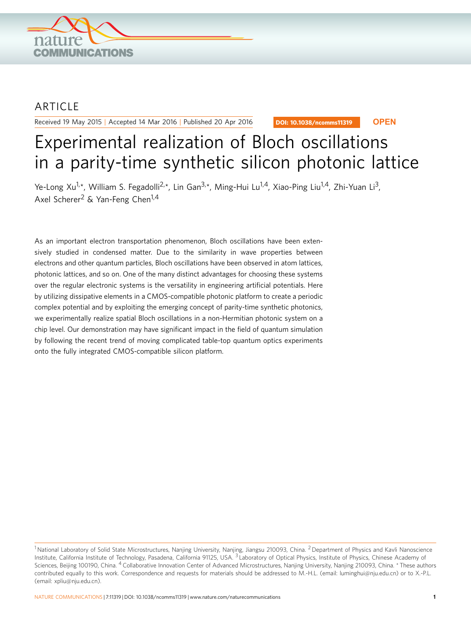

## **ARTICLE**

Received 19 May 2015 | Accepted 14 Mar 2016 | Published 20 Apr 2016

DOI: 10.1038/ncomms11319 **OPEN**

# Experimental realization of Bloch oscillations in a parity-time synthetic silicon photonic lattice

Ye-Long Xu<sup>1,\*</sup>, William S. Fegadolli<sup>2,\*</sup>, Lin Gan<sup>3,\*</sup>, Ming-Hui Lu<sup>1,4</sup>, Xiao-Ping Liu<sup>1,4</sup>, Zhi-Yuan Li<sup>3</sup>, Axel Scherer<sup>2</sup> & Yan-Feng Chen<sup>1,4</sup>

As an important electron transportation phenomenon, Bloch oscillations have been extensively studied in condensed matter. Due to the similarity in wave properties between electrons and other quantum particles, Bloch oscillations have been observed in atom lattices, photonic lattices, and so on. One of the many distinct advantages for choosing these systems over the regular electronic systems is the versatility in engineering artificial potentials. Here by utilizing dissipative elements in a CMOS-compatible photonic platform to create a periodic complex potential and by exploiting the emerging concept of parity-time synthetic photonics, we experimentally realize spatial Bloch oscillations in a non-Hermitian photonic system on a chip level. Our demonstration may have significant impact in the field of quantum simulation by following the recent trend of moving complicated table-top quantum optics experiments onto the fully integrated CMOS-compatible silicon platform.

<sup>&</sup>lt;sup>1</sup> National Laboratory of Solid State Microstructures, Nanjing University, Nanjing, Jiangsu 210093, China. <sup>2</sup> Department of Physics and Kavli Nanoscience Institute, California Institute of Technology, Pasadena, California 91125, USA. <sup>3</sup> Laboratory of Optical Physics, Institute of Physics, Chinese Academy of Sciences, Beijing 100190, China. <sup>4</sup> Collaborative Innovation Center of Advanced Microstructures, Nanjing University, Nanjing 210093, China. \* These authors contributed equally to this work. Correspondence and requests for materials should be addressed to M.-H.L. (email: [luminghui@nju.edu.cn](mailto:luminghui@nju.edu.cn)) or to X.-P.L. (email: [xpliu@nju.edu.cn](mailto:xpliu@nju.edu.cn)).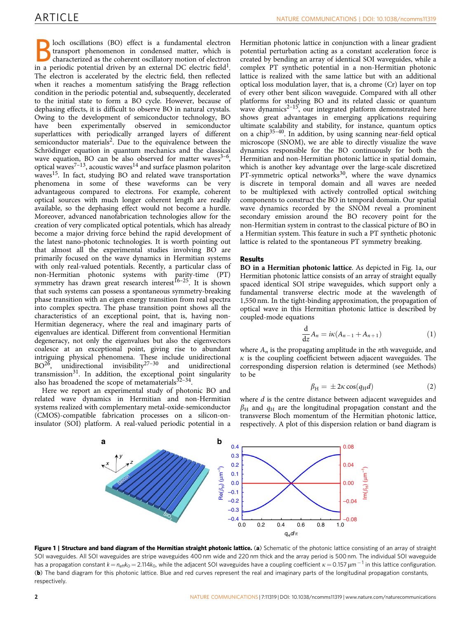<span id="page-1-0"></span>loch oscillations (BO) effect is a fundamental electron transport phenomenon in condensed matter, which is characterized as the coherent oscillatory motion of electron in a periodic potential driven by an external DC electric field<sup>1</sup>. The electron is accelerated by the electric field, then reflected when it reaches a momentum satisfying the Bragg reflection condition in the periodic potential and, subsequently, decelerated to the initial state to form a BO cycle. However, because of dephasing effects, it is difficult to observe BO in natural crystals. Owing to the development of semiconductor technology, BO have been experimentally observed in semiconductor superlattices with periodically arranged layers of different semiconductor materials<sup>[2](#page-4-0)</sup>. Due to the equivalence between the Schrödinger equation in quantum mechanics and the classical wave equation, BO can be also observed for matter waves $3-6$ ,  $\frac{1}{2}$  optical waves<sup>[7–13](#page-4-0)</sup>, acoustic waves<sup>[14](#page-4-0)</sup> and surface plasmon polariton waves<sup>[15](#page-5-0)</sup>. In fact, studying BO and related wave transportation phenomena in some of these waveforms can be very advantageous compared to electrons. For example, coherent optical sources with much longer coherent length are readily available, so the dephasing effect would not become a hurdle. Moreover, advanced nanofabrication technologies allow for the creation of very complicated optical potentials, which has already become a major driving force behind the rapid development of the latest nano-photonic technologies. It is worth pointing out that almost all the experimental studies involving BO are primarily focused on the wave dynamics in Hermitian systems with only real-valued potentials. Recently, a particular class of non-Hermitian photonic systems with parity-time (PT) symmetry has drawn great research interest<sup>16–25</sup>. It is shown that such systems can possess a spontaneous symmetry-breaking phase transition with an eigen energy transition from real spectra into complex spectra. The phase transition point shows all the characteristics of an exceptional point, that is, having non-Hermitian degeneracy, where the real and imaginary parts of eigenvalues are identical. Different from conventional Hermitian degeneracy, not only the eigenvalues but also the eigenvectors coalesce at an exceptional point, giving rise to abundant intriguing physical phenomena. These include unidirectional BO[26](#page-5-0), unidirectional invisibility[27–30](#page-5-0) and unidirectional transmission<sup>[31](#page-5-0)</sup>. In addition, the exceptional point singularity also has broadened the scope of metamaterials $32-34$ .

Here we report an experimental study of photonic BO and related wave dynamics in Hermitian and non-Hermitian systems realized with complementary metal-oxide-semiconductor (CMOS)-compatible fabrication processes on a silicon-oninsulator (SOI) platform. A real-valued periodic potential in a

Hermitian photonic lattice in conjunction with a linear gradient potential perturbation acting as a constant acceleration force is created by bending an array of identical SOI waveguides, while a complex PT synthetic potential in a non-Hermitian photonic lattice is realized with the same lattice but with an additional optical loss modulation layer, that is, a chrome (Cr) layer on top of every other bent silicon waveguide. Compared with all other platforms for studying BO and its related classic or quantum wave dynamics<sup>2-15</sup>, our integrated platform demonstrated here shows great advantages in emerging applications requiring ultimate scalability and stability, for instance, quantum optics on a chip<sup>35-40</sup>. In addition, by using scanning near-field optical microscope (SNOM), we are able to directly visualize the wave dynamics responsible for the BO continuously for both the Hermitian and non-Hermitian photonic lattice in spatial domain, which is another key advantage over the large-scale discretized PT-symmetric optical networks $30$ , where the wave dynamics is discrete in temporal domain and all waves are needed to be multiplexed with actively controlled optical switching components to construct the BO in temporal domain. Our spatial wave dynamics recorded by the SNOM reveal a prominent secondary emission around the BO recovery point for the non-Hermitian system in contrast to the classical picture of BO in a Hermitian system. This feature in such a PT synthetic photonic lattice is related to the spontaneous PT symmetry breaking.

### Results

BO in a Hermitian photonic lattice. As depicted in Fig. 1a, our Hermitian photonic lattice consists of an array of straight equally spaced identical SOI stripe waveguides, which support only a fundamental transverse electric mode at the wavelength of 1,550 nm. In the tight-binding approximation, the propagation of optical wave in this Hermitian photonic lattice is described by coupled-mode equations

$$
\frac{\mathrm{d}}{\mathrm{d}z}A_n = i\kappa (A_{n-1} + A_{n+1})
$$
\n(1)

where  $A_n$  is the propagating amplitude in the *n*th waveguide, and  $\kappa$  is the coupling coefficient between adjacent waveguides. The corresponding dispersion relation is determined (see Methods) to be

$$
\beta_{\rm H} = \pm 2\kappa \cos(q_{\rm H} d) \tag{2}
$$

where *d* is the centre distance between adjacent waveguides and  $\beta_H$  and  $q_H$  are the longitudinal propagation constant and the transverse Bloch momentum of the Hermitian photonic lattice, respectively. A plot of this dispersion relation or band diagram is



Figure 1 | Structure and band diagram of the Hermitian straight photonic lattice. (a) Schematic of the photonic lattice consisting of an array of straight SOI waveguides. All SOI waveguides are stripe waveguides 400 nm wide and 220 nm thick and the array period is 500 nm. The individual SOI waveguide has a propagation constant  $k = n_{\rm eff} k_{\rm O} = 2.114 k_{\rm O}$ , while the adjacent SOI waveguides have a coupling coefficient  $\kappa = 0.157$  µm  $^{-1}$  in this lattice configuration. (b) The band diagram for this photonic lattice. Blue and red curves represent the real and imaginary parts of the longitudinal propagation constants, respectively.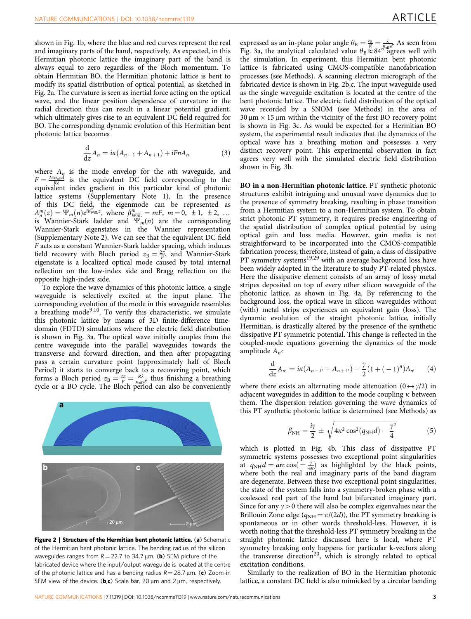shown in [Fig. 1b](#page-1-0), where the blue and red curves represent the real and imaginary parts of the band, respectively. As expected, in this Hermitian photonic lattice the imaginary part of the band is always equal to zero regardless of the Bloch momentum. To obtain Hermitian BO, the Hermitian photonic lattice is bent to modify its spatial distribution of optical potential, as sketched in Fig. 2a. The curvature is seen as inertial force acting on the optical wave, and the linear position dependence of curvature in the radial direction thus can result in a linear potential gradient, which ultimately gives rise to an equivalent DC field required for BO. The corresponding dynamic evolution of this Hermitian bent photonic lattice becomes

$$
\frac{\mathrm{d}}{\mathrm{d}z}A_n = i\kappa(A_{n-1} + A_{n+1}) + iFnA_n \tag{3}
$$

where  $A_n$  is the mode envelop for the *n*th waveguide, and  $F = \frac{2\pi n_{\text{eff}} d}{R\lambda}$  is the equivalent DC field corresponding to the equivalent index gradient in this particular kind of photonic lattice systems (Supplementary Note 1). In the presence of this DC field, the eigenmode can be represented as  $A_n^m(z) = \Psi_m(n) e^{i\beta_{\text{WSL}}^m z}$ , where  $\beta_{\text{WSL}}^m = mF$ ,  $m = 0, \pm 1, \pm 2, \dots$ is Wannier-Stark ladder and  $\Psi_m(n)$  are the corresponding Wannier-Stark eigenstates in the Wannier representation (Supplementary Note 2). We can see that the equivalent DC field F acts as a constant Wannier-Stark ladder spacing, which induces field recovery with Bloch period  $z_B = \frac{2\pi}{F}$ , and Wannier-Stark eigenstate is a localized optical mode caused by total internal reflection on the low-index side and Bragg reflection on the opposite high-index side.

To explore the wave dynamics of this photonic lattice, a single waveguide is selectively excited at the input plane. The corresponding evolution of the mode in this waveguide resembles a breathing mode<sup>9,10</sup>. To verify this characteristic, we simulate this photonic lattice by means of 3D finite-difference timedomain (FDTD) simulations where the electric field distribution is shown in [Fig. 3a](#page-3-0). The optical wave initially couples from the centre waveguide into the parallel waveguides towards the transverse and forward direction, and then after propagating pass a certain curvature point (approximately half of Bloch Period) it starts to converge back to a recovering point, which forms a Bloch period  $z_{\text{B}} = \frac{2\pi}{F} = \frac{R\lambda}{n_{\text{eff}}d}$ , thus finishing a breathing cycle or a BO cycle. The Bloch period can also be conveniently



Figure 2 | Structure of the Hermitian bent photonic lattice. (a) Schematic of the Hermitian bent photonic lattice. The bending radius of the silicon waveguides ranges from  $R = 22.7$  to 34.7  $\mu$ m. (**b**) SEM picture of the fabricated device where the input/output waveguide is located at the centre of the photonic lattice and has a bending radius  $R = 28.7 \,\mu\text{m}$ . (c) Zoom-in SEM view of the device. (b,c) Scale bar, 20  $\mu$ m and 2  $\mu$ m, respectively.

expressed as an in-plane polar angle  $\theta_B = \frac{z_B}{R} = \frac{\lambda}{n_{\text{eff}}}$ . As seen from [Fig. 3a,](#page-3-0) the analytical calculated value  $\theta_B \approx 84^\circ$  agrees well with the simulation. In experiment, this Hermitian bent photonic lattice is fabricated using CMOS-compatible nanofabrication processes (see Methods). A scanning electron micrograph of the fabricated device is shown in Fig. 2b,c. The input waveguide used as the single waveguide excitation is located at the centre of the bent photonic lattice. The electric field distribution of the optical wave recorded by a SNOM (see Methods) in the area of  $30 \mu m \times 15 \mu m$  within the vicinity of the first BO recovery point is shown in [Fig. 3c.](#page-3-0) As would be expected for a Hermitian BO system, the experimental result indicates that the dynamics of the optical wave has a breathing motion and possesses a very distinct recovery point. This experimental observation in fact agrees very well with the simulated electric field distribution shown in [Fig. 3b](#page-3-0).

BO in a non-Hermitian photonic lattice. PT synthetic photonic structures exhibit intriguing and unusual wave dynamics due to the presence of symmetry breaking, resulting in phase transition from a Hermitian system to a non-Hermitian system. To obtain strict photonic PT symmetry, it requires precise engineering of the spatial distribution of complex optical potential by using optical gain and loss media. However, gain media is not straightforward to be incorporated into the CMOS-compatible fabrication process; therefore, instead of gain, a class of dissipative PT symmetry systems<sup>19,29</sup> with an average background loss have been widely adopted in the literature to study PT-related physics. Here the dissipative element consists of an array of lossy metal stripes deposited on top of every other silicon waveguide of the photonic lattice, as shown in [Fig. 4a](#page-3-0). By referencing to the background loss, the optical wave in silicon waveguides without (with) metal strips experiences an equivalent gain (loss). The dynamic evolution of the straight photonic lattice, initially Hermitian, is drastically altered by the presence of the synthetic dissipative PT symmetric potential. This change is reflected in the coupled-mode equations governing the dynamics of the mode amplitude  $A_{n'}$ :

$$
\frac{d}{dz}A_{n'} = i\kappa(A_{n-1'} + A_{n+1'}) - \frac{\gamma}{2}(1 + (-1)^n)A_{n'} \qquad (4)
$$

where there exists an alternating mode attenuation  $(0 \leftrightarrow \gamma/2)$  in adjacent waveguides in addition to the mode coupling  $\kappa$  between them. The dispersion relation governing the wave dynamics of this PT synthetic photonic lattice is determined (see Methods) as

$$
\beta_{\rm NH} = \frac{i\gamma}{2} \pm \sqrt{4\kappa^2 \cos^2(q_{\rm NH}d) - \frac{\gamma^2}{4}} \tag{5}
$$

which is plotted in [Fig. 4b.](#page-3-0) This class of dissipative PT symmetric systems possesses two exceptional point singularities at  $q_{NH}d = arc \cos(\pm \frac{\gamma}{4\kappa})$  as highlighted by the black points, where both the real and imaginary parts of the band diagram are degenerate. Between these two exceptional point singularities, the state of the system falls into a symmetry-broken phase with a coalesced real part of the band but bifurcated imaginary part. Since for any  $\gamma$  > 0 there will also be complex eigenvalues near the Brillouin Zone edge ( $q_{NH} = \pi/(2d)$ ), the PT symmetry breaking is spontaneous or in other words threshold-less. However, it is worth noting that the threshold-less PT symmetry breaking in the straight photonic lattice discussed here is local, where PT symmetry breaking only happens for particular k-vectors along the transverse direction<sup>20</sup>, which is strongly related to optical excitation conditions.

Similarly to the realization of BO in the Hermitian photonic lattice, a constant DC field is also mimicked by a circular bending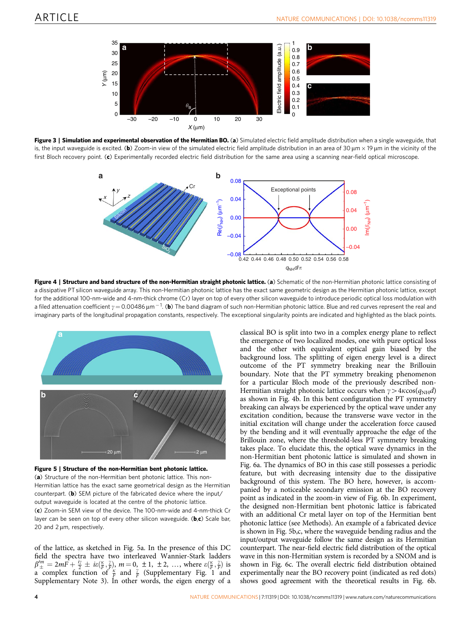<span id="page-3-0"></span>

Figure 3 | Simulation and experimental observation of the Hermitian BO. (a) Simulated electric field amplitude distribution when a single waveguide, that is, the input waveguide is excited. (b) Zoom-in view of the simulated electric field amplitude distribution in an area of 30  $\mu$ m  $\times$  19  $\mu$ m in the vicinity of the first Bloch recovery point. (c) Experimentally recorded electric field distribution for the same area using a scanning near-field optical microscope.



Figure 4 | Structure and band structure of the non-Hermitian straight photonic lattice. (a) Schematic of the non-Hermitian photonic lattice consisting of a dissipative PT silicon waveguide array. This non-Hermitian photonic lattice has the exact same geometric design as the Hermitian photonic lattice, except for the additional 100-nm-wide and 4-nm-thick chrome (Cr) layer on top of every other silicon waveguide to introduce periodic optical loss modulation with a filed attenuation coefficient  $\gamma$   $=$  0.00486  $\mu$ m $^{-1}$ . (b) The band diagram of such non-Hermitian photonic lattice. Blue and red curves represent the real and imaginary parts of the longitudinal propagation constants, respectively. The exceptional singularity points are indicated and highlighted as the black points.



Figure 5 | Structure of the non-Hermitian bent photonic lattice. (a) Structure of the non-Hermitian bent photonic lattice. This non-Hermitian lattice has the exact same geometrical design as the Hermitian counterpart. (b) SEM picture of the fabricated device where the input/ output waveguide is located at the centre of the photonic lattice. (c) Zoom-in SEM view of the device. The 100-nm-wide and 4-nm-thick Cr layer can be seen on top of every other silicon waveguide. (b,c) Scale bar, 20 and  $2 \mu m$ , respectively.

of the lattice, as sketched in Fig. 5a. In the presence of this DC field the spectra have two interleaved Wannier-Stark ladders  $\beta_{\pm}^{m} = 2m\overline{F} + \frac{i\gamma}{2} \pm i\epsilon(\frac{\kappa}{F}, \frac{\gamma}{F})$ ,  $m = 0, \pm 1, \pm 2, ...$ , where  $\epsilon(\frac{\kappa}{F}, \frac{\gamma}{F})$  is a complex function of  $\frac{\kappa}{F}$  and  $\frac{\gamma}{F}$  (Supplementary Fig. 1 and Supplementary Note 3). In other words, the eigen energy of a

classical BO is split into two in a complex energy plane to reflect the emergence of two localized modes, one with pure optical loss and the other with equivalent optical gain biased by the background loss. The splitting of eigen energy level is a direct outcome of the PT symmetry breaking near the Brillouin boundary. Note that the PT symmetry breaking phenomenon for a particular Bloch mode of the previously described non-Hermitian straight photonic lattice occurs when  $\gamma > 4\kappa \cos(q_{\text{NH}}d)$ as shown in Fig. 4b. In this bent configuration the PT symmetry breaking can always be experienced by the optical wave under any excitation condition, because the transverse wave vector in the initial excitation will change under the acceleration force caused by the bending and it will eventually approache the edge of the Brillouin zone, where the threshold-less PT symmetry breaking takes place. To elucidate this, the optical wave dynamics in the non-Hermitian bent photonic lattice is simulated and shown in [Fig. 6a.](#page-4-0) The dynamics of BO in this case still possesses a periodic feature, but with decreasing intensity due to the dissipative background of this system. The BO here, however, is accompanied by a noticeable secondary emission at the BO recovery point as indicated in the zoom-in view of [Fig. 6b.](#page-4-0) In experiment, the designed non-Hermitian bent photonic lattice is fabricated with an additional Cr metal layer on top of the Hermitian bent photonic lattice (see Methods). An example of a fabricated device is shown in Fig. 5b,c, where the waveguide bending radius and the input/output waveguide follow the same design as its Hermitian counterpart. The near-field electric field distribution of the optical wave in this non-Hermitian system is recorded by a SNOM and is shown in [Fig. 6c.](#page-4-0) The overall electric field distribution obtained experimentally near the BO recovery point (indicated as red dots) shows good agreement with the theoretical results in [Fig. 6b.](#page-4-0)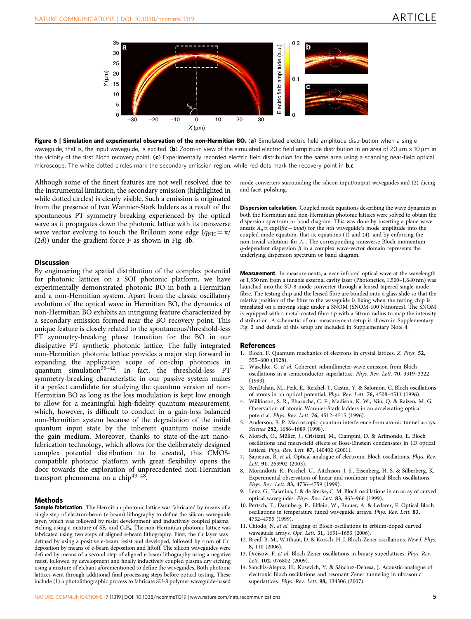<span id="page-4-0"></span>

Figure 6 | Simulation and experimental observation of the non-Hermitian BO. (a) Simulated electric field amplitude distribution when a single waveguide, that is, the input waveguide, is excited. (b) Zoom-in view of the simulated electric field amplitude distribution in an area of 20  $\mu$ m  $\times$  10  $\mu$ m in the vicinity of the first Bloch recovery point. (c) Experimentally recorded electric field distribution for the same area using a scanning near-field optical microscope. The white dotted circles mark the secondary emission region, while red dots mark the recovery point in  $\mathbf{b}$ ,c.

Although some of the finest features are not well resolved due to the instrumental limitation, the secondary emission (highlighted in while dotted circles) is clearly visible. Such a emission is originated from the presence of two Wannier-Stark ladders as a result of the spontaneous PT symmetry breaking experienced by the optical wave as it propagates down the photonic lattice with its transverse wave vector evolving to touch the Brillouin zone edge ( $q_{NH} = \pi/$  $(2d)$ ) under the gradient force F as shown in [Fig. 4b](#page-3-0).

#### **Discussion**

By engineering the spatial distribution of the complex potential for photonic lattices on a SOI photonic platform, we have experimentally demonstrated photonic BO in both a Hermitian and a non-Hermitian system. Apart from the classic oscillatory evolution of the optical wave in Hermitian BO, the dynamics of non-Hermitian BO exhibits an intriguing feature characterized by a secondary emission formed near the BO recovery point. This unique feature is closely related to the spontaneous/threshold-less PT symmetry-breaking phase transition for the BO in our dissipative PT synthetic photonic lattice. The fully integrated non-Hermitian photonic lattice provides a major step forward in expanding the application scope of on-chip photonics in quantum simulation<sup>35-42</sup>. In fact, the threshold-less PT symmetry-breaking characteristic in our passive system makes it a perfect candidate for studying the quantum version of non-Hermitian BO as long as the loss modulation is kept low enough to allow for a meaningful high-fidelity quantum measurement, which, however, is difficult to conduct in a gain-loss balanced non-Hermitian system because of the degradation of the initial quantum input state by the inherent quantum noise inside the gain medium. Moreover, thanks to state-of-the-art nanofabrication technology, which allows for the deliberately designed complex potential distribution to be created, this CMOScompatible photonic platform with great flexibility opens the door towards the exploration of unprecedented non-Hermitian transport phenomena on a chi[p43–48.](#page-5-0)

#### Methods

Sample fabrication. The Hermitian photonic lattice was fabricated by means of a single step of electron-beam (e-beam) lithography to define the silicon waveguide layer, which was followed by resist development and inductively coupled plasma etching using a mixture of  $SF_6$  and  $C_4F_8$ . The non-Hermitian photonic lattice was fabricated using two steps of aligned e-beam lithography. First, the Cr layer was defined by using a positive e-beam resist and developed, followed by 4 nm of Cr deposition by means of e-beam deposition and liftoff. The silicon waveguides were defined by means of a second step of aligned e-beam lithography using a negative resist, followed by development and finally inductively coupled plasma dry etching using a mixture of etchant aforementioned to define the waveguides. Both photonic lattices went through additional final processing steps before optical testing. These include (1) a photolithographic process to fabricate SU-8 polymer waveguide-based

mode converters surrounding the silicon input/output waveguides and (2) dicing and facet polishing.

Dispersion calculation. Coupled mode equations describing the wave dynamics in both the Hermitian and non-Hermitian photonic lattices were solved to obtain the dispersion spectrum or band diagram. This was done by inserting a plane wave ansatz  $A_n \propto \exp(i\beta z - inqd)$  for the *n*th waveguide's mode amplitude into the coupled mode equation, that is, equations  $(1)$  and  $(4)$ , and by enforcing the non-trivial solutions for  $A_n$ . The corresponding transverse Bloch momentum  $q$  -dependent dispersion  $\beta$  in a complex wave-vector domain represents the underlying dispersion spectrum or band diagram.

Measurement. In measurements, a near-infrared optical wave at the wavelength of 1,550 nm from a tunable external cavity laser (Photonetics, 1,500–1,640 nm) was launched into the SU-8 mode converter through a lensed tapered single-mode fibre. The testing chip and the lensed fibre are bonded onto a glass slide so that the relative position of the fibre to the waveguide is fixing when the testing chip is translated on a moving stage under a SNOM (SNOM-100 Nanonics). The SNOM is equipped with a metal-coated fibre tip with a 50 nm radius to map the intensity distribution. A schematic of our measurement setup is shown in Supplementary Fig. 2 and details of this setup are included in Supplementary Note 4.

#### References

- 1. Bloch, F. Quantum mechanics of electrons in crystal lattices. Z. Phys. 52, 555–600 (1928).
- 2. Waschke, C. et al. Coherent submillimeter-wave emission from Bloch oscillations in a semiconductor superlattice. Phys. Rev. Lett. 70, 3319–3322 (1993).
- 3. BenDahan, M., Peik, E., Reichel, J., Castin, Y. & Salomon, C. Bloch oscillations of atoms in an optical potential. Phys. Rev. Lett. 76, 4508–4511 (1996).
- 4. Wilkinson, S. R., Bharucha, C. F., Madison, K. W., Niu, Q. & Raizen, M. G. Observation of atomic Wannier-Stark ladders in an accelerating optical potential. Phys. Rev. Lett. 76, 4512–4515 (1996).
- 5. Anderson, B. P. Macroscopic quantum interference from atomic tunnel arrays. Science 282, 1686-1689 (1998).
- 6. Morsch, O., Müller, J., Cristiani, M., Ciampini, D. & Arimondo, E. Bloch oscillations and mean-field effects of Bose-Einstein condensates in 1D optical lattices. Phys. Rev. Lett. 87, 140402 (2001).
- 7. Sapienza, R. et al. Optical analogue of electronic Bloch oscillations. Phys. Rev. Lett. 91, 263902 (2003).
- 8. Morandotti, R., Peschel, U., Aitchison, J. S., Eisenberg, H. S. & Silberberg, K. Experimental observation of linear and nonlinear optical Bloch oscillations. Phys. Rev. Lett. 83, 4756–4759 (1999).
- 9. Lenz, G., Talanina, I. & de Sterke, C. M. Bloch oscillations in an array of curved optical waveguides. Phys. Rev. Lett. 83, 963-966 (1999).
- 10. Pertsch, T., Dannberg, P., Elflein, W., Brauer, A. & Lederer, F. Optical Bloch oscillations in temperature tuned waveguide arrays. Phys. Rev. Lett. 83, 4752–4755 (1999).
- 11. Chiodo, N. et al. Imaging of Bloch oscillations in erbium-doped curved waveguide arrays. Opt. Lett. 31, 1651–1653 (2006).
- 12. Breid, B. M., Witthaut, D. & Korsch, H. J. Bloch-Zener oscillations. New J. Phys. 8, 110 (2006).
- 13. Dreisow, F. et al. Bloch-Zener oscillations in binary superlattices. Phys. Rev. Lett. 102, 076802 (2009).
- 14. Sanchis-Alepuz, H., Kosevich, Y. & Sánchez-Dehesa, J. Acoustic analogue of electronic Bloch oscillations and resonant Zener tunneling in ultrasonic superlattices. Phys. Rev. Lett. 98, 134306 (2007).